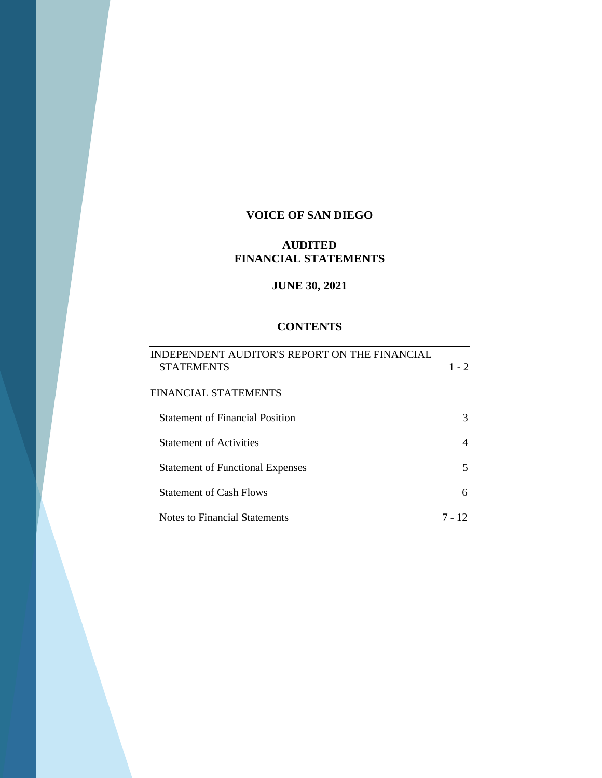# **AUDITED FINANCIAL STATEMENTS**

# **JUNE 30, 2021**

# **CONTENTS**

| INDEPENDENT AUDITOR'S REPORT ON THE FINANCIAL<br><b>STATEMENTS</b> | $1 - 2$ |
|--------------------------------------------------------------------|---------|
| FINANCIAL STATEMENTS                                               |         |
| <b>Statement of Financial Position</b>                             | 3       |
| <b>Statement of Activities</b>                                     | 4       |
| <b>Statement of Functional Expenses</b>                            | 5       |
| <b>Statement of Cash Flows</b>                                     | 6       |
| Notes to Financial Statements                                      | 7 - 12  |
|                                                                    |         |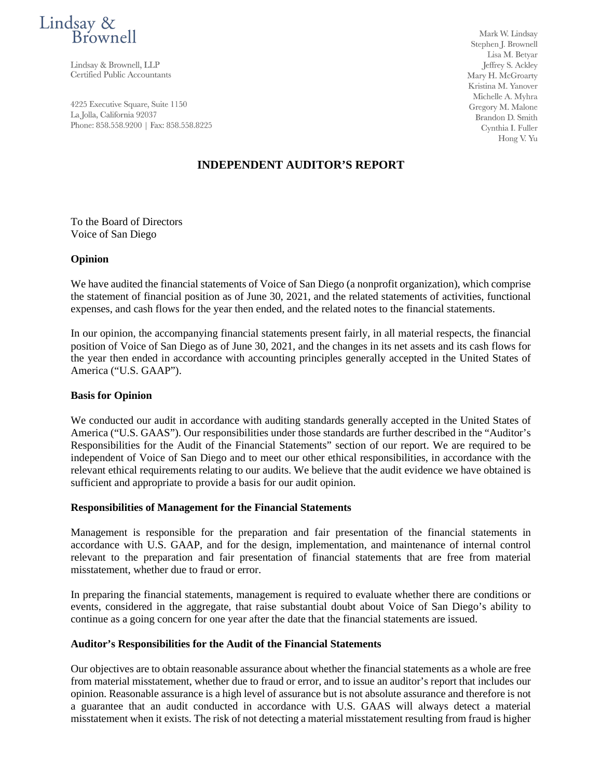

Lindsay & Brownell, LLP Certified Public Accountants

4225 Executive Square, Suite 1150 La Jolla, California 92037 Phone: 858.558.9200 | Fax: 858.558.8225

Mark W. Lindsay Stephen J. Brownell Lisa M. Betyar Jeffrey S. Ackley Mary H. McGroarty Kristina M. Yanover Michelle A. Myhra Gregory M. Malone Brandon D. Smith Cynthia I. Fuller Hong V. Yu

## **INDEPENDENT AUDITOR'S REPORT**

To the Board of Directors Voice of San Diego

## **Opinion**

We have audited the financial statements of Voice of San Diego (a nonprofit organization), which comprise the statement of financial position as of June 30, 2021, and the related statements of activities, functional expenses, and cash flows for the year then ended, and the related notes to the financial statements.

In our opinion, the accompanying financial statements present fairly, in all material respects, the financial position of Voice of San Diego as of June 30, 2021, and the changes in its net assets and its cash flows for the year then ended in accordance with accounting principles generally accepted in the United States of America ("U.S. GAAP").

#### **Basis for Opinion**

We conducted our audit in accordance with auditing standards generally accepted in the United States of America ("U.S. GAAS"). Our responsibilities under those standards are further described in the "Auditor's Responsibilities for the Audit of the Financial Statements" section of our report. We are required to be independent of Voice of San Diego and to meet our other ethical responsibilities, in accordance with the relevant ethical requirements relating to our audits. We believe that the audit evidence we have obtained is sufficient and appropriate to provide a basis for our audit opinion.

#### **Responsibilities of Management for the Financial Statements**

Management is responsible for the preparation and fair presentation of the financial statements in accordance with U.S. GAAP, and for the design, implementation, and maintenance of internal control relevant to the preparation and fair presentation of financial statements that are free from material misstatement, whether due to fraud or error.

In preparing the financial statements, management is required to evaluate whether there are conditions or events, considered in the aggregate, that raise substantial doubt about Voice of San Diego's ability to continue as a going concern for one year after the date that the financial statements are issued.

## **Auditor's Responsibilities for the Audit of the Financial Statements**

Our objectives are to obtain reasonable assurance about whether the financial statements as a whole are free from material misstatement, whether due to fraud or error, and to issue an auditor's report that includes our opinion. Reasonable assurance is a high level of assurance but is not absolute assurance and therefore is not a guarantee that an audit conducted in accordance with U.S. GAAS will always detect a material misstatement when it exists. The risk of not detecting a material misstatement resulting from fraud is higher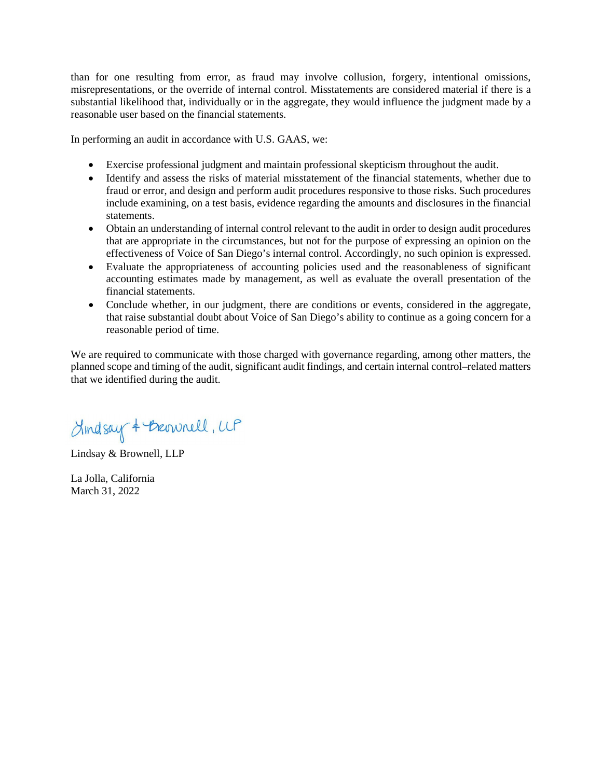than for one resulting from error, as fraud may involve collusion, forgery, intentional omissions, misrepresentations, or the override of internal control. Misstatements are considered material if there is a substantial likelihood that, individually or in the aggregate, they would influence the judgment made by a reasonable user based on the financial statements.

In performing an audit in accordance with U.S. GAAS, we:

- Exercise professional judgment and maintain professional skepticism throughout the audit.
- Identify and assess the risks of material misstatement of the financial statements, whether due to fraud or error, and design and perform audit procedures responsive to those risks. Such procedures include examining, on a test basis, evidence regarding the amounts and disclosures in the financial statements.
- Obtain an understanding of internal control relevant to the audit in order to design audit procedures that are appropriate in the circumstances, but not for the purpose of expressing an opinion on the effectiveness of Voice of San Diego's internal control. Accordingly, no such opinion is expressed.
- Evaluate the appropriateness of accounting policies used and the reasonableness of significant accounting estimates made by management, as well as evaluate the overall presentation of the financial statements.
- Conclude whether, in our judgment, there are conditions or events, considered in the aggregate, that raise substantial doubt about Voice of San Diego's ability to continue as a going concern for a reasonable period of time.

We are required to communicate with those charged with governance regarding, among other matters, the planned scope and timing of the audit, significant audit findings, and certain internal control–related matters that we identified during the audit.

Aindsay & Bernrell, UP

Lindsay & Brownell, LLP

La Jolla, California March 31, 2022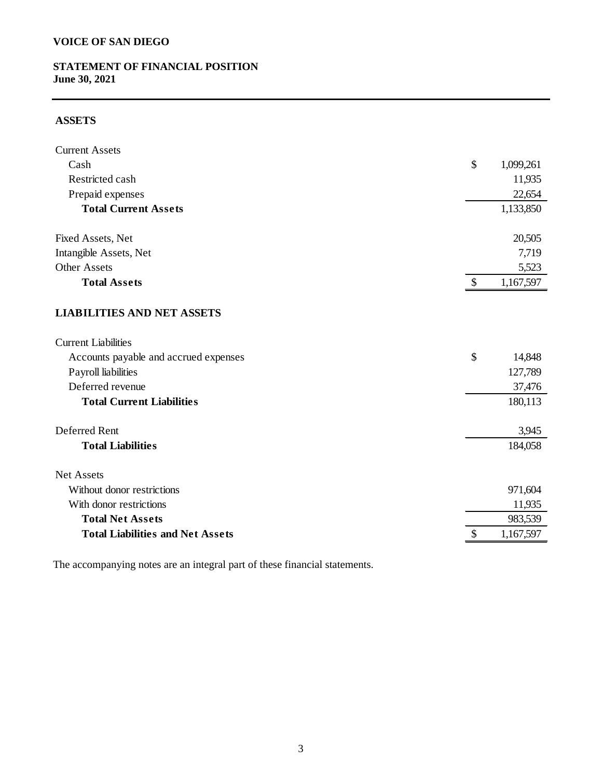# **STATEMENT OF FINANCIAL POSITION June 30, 2021**

# **ASSETS**

| <b>Current Assets</b>                   |                           |           |
|-----------------------------------------|---------------------------|-----------|
| Cash                                    | $\boldsymbol{\mathsf{S}}$ | 1,099,261 |
| Restricted cash                         |                           | 11,935    |
| Prepaid expenses                        |                           | 22,654    |
| <b>Total Current Assets</b>             |                           | 1,133,850 |
| Fixed Assets, Net                       |                           | 20,505    |
| Intangible Assets, Net                  |                           | 7,719     |
| <b>Other Assets</b>                     |                           | 5,523     |
| <b>Total Assets</b>                     | \$                        | 1,167,597 |
| <b>LIABILITIES AND NET ASSETS</b>       |                           |           |
| <b>Current Liabilities</b>              |                           |           |
| Accounts payable and accrued expenses   | \$                        | 14,848    |
| Payroll liabilities                     |                           | 127,789   |
| Deferred revenue                        |                           | 37,476    |
| <b>Total Current Liabilities</b>        |                           | 180,113   |
| Deferred Rent                           |                           | 3,945     |
| <b>Total Liabilities</b>                |                           | 184,058   |
| <b>Net Assets</b>                       |                           |           |
| Without donor restrictions              |                           | 971,604   |
| With donor restrictions                 |                           | 11,935    |
| <b>Total Net Assets</b>                 |                           | 983,539   |
| <b>Total Liabilities and Net Assets</b> | \$                        | 1,167,597 |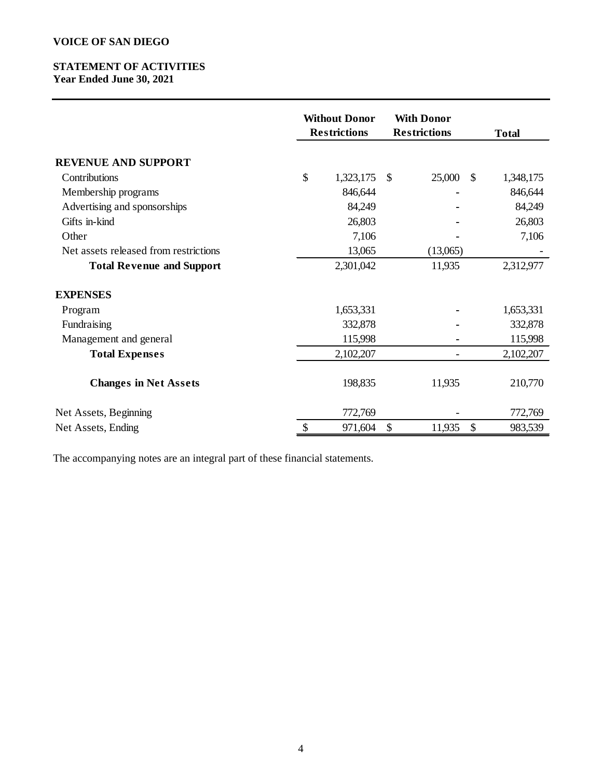## **STATEMENT OF ACTIVITIES Year Ended June 30, 2021**

|                                       | <b>Without Donor</b><br><b>Restrictions</b> |                           | <b>With Donor</b><br><b>Restrictions</b> |              | <b>Total</b> |
|---------------------------------------|---------------------------------------------|---------------------------|------------------------------------------|--------------|--------------|
| <b>REVENUE AND SUPPORT</b>            |                                             |                           |                                          |              |              |
| Contributions                         | \$<br>1,323,175                             | <sup>\$</sup>             | 25,000                                   | $\mathbb{S}$ | 1,348,175    |
| Membership programs                   | 846,644                                     |                           |                                          |              | 846,644      |
| Advertising and sponsorships          | 84,249                                      |                           |                                          |              | 84,249       |
| Gifts in-kind                         | 26,803                                      |                           |                                          |              | 26,803       |
| Other                                 | 7,106                                       |                           |                                          |              | 7,106        |
| Net assets released from restrictions | 13,065                                      |                           | (13,065)                                 |              |              |
| <b>Total Revenue and Support</b>      | 2,301,042                                   |                           | 11,935                                   |              | 2,312,977    |
| <b>EXPENSES</b>                       |                                             |                           |                                          |              |              |
| Program                               | 1,653,331                                   |                           |                                          |              | 1,653,331    |
| Fundraising                           | 332,878                                     |                           |                                          |              | 332,878      |
| Management and general                | 115,998                                     |                           |                                          |              | 115,998      |
| <b>Total Expenses</b>                 | 2,102,207                                   |                           |                                          |              | 2,102,207    |
| <b>Changes in Net Assets</b>          | 198,835                                     |                           | 11,935                                   |              | 210,770      |
| Net Assets, Beginning                 | 772,769                                     |                           |                                          |              | 772,769      |
| Net Assets, Ending                    | \$<br>971,604                               | $\boldsymbol{\mathsf{S}}$ | 11,935                                   | \$           | 983,539      |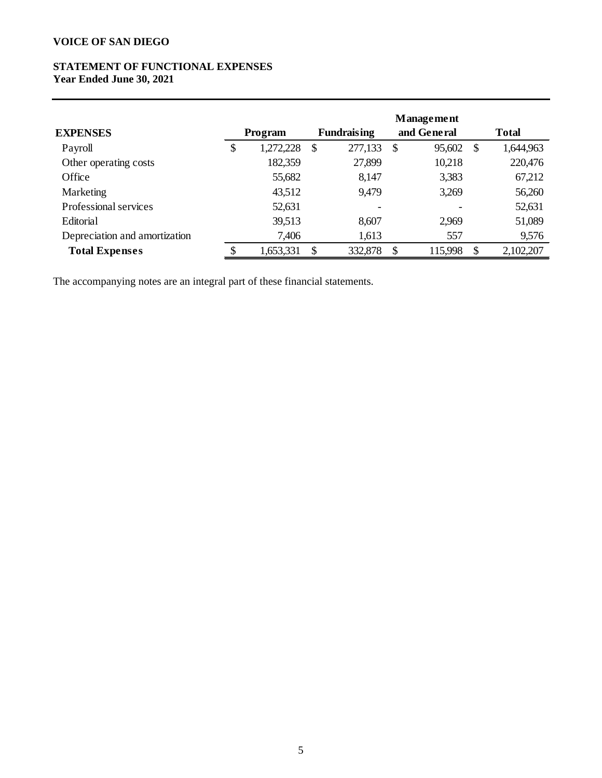## **STATEMENT OF FUNCTIONAL EXPENSES Year Ended June 30, 2021**

| <b>EXPENSES</b>               |    | Program   |    | <b>Fundraising</b> |    | Management<br>and General |               | <b>Total</b> |
|-------------------------------|----|-----------|----|--------------------|----|---------------------------|---------------|--------------|
| Payroll                       | \$ | 1,272,228 | \$ | 277,133            | \$ | 95,602                    | \$            | 1,644,963    |
| Other operating costs         |    | 182,359   |    | 27,899             |    | 10,218                    |               | 220,476      |
| Office                        |    | 55,682    |    | 8,147              |    | 3,383                     |               | 67,212       |
| Marketing                     |    | 43,512    |    | 9,479              |    | 3,269                     |               | 56,260       |
| Professional services         |    | 52,631    |    |                    |    |                           |               | 52,631       |
| Editorial                     |    | 39,513    |    | 8,607              |    | 2,969                     |               | 51,089       |
| Depreciation and amortization |    | 7,406     |    | 1,613              |    | 557                       |               | 9,576        |
| <b>Total Expenses</b>         | ¢  | 1,653,331 | S  | 332,878            | S  | 115,998                   | <sup>\$</sup> | 2,102,207    |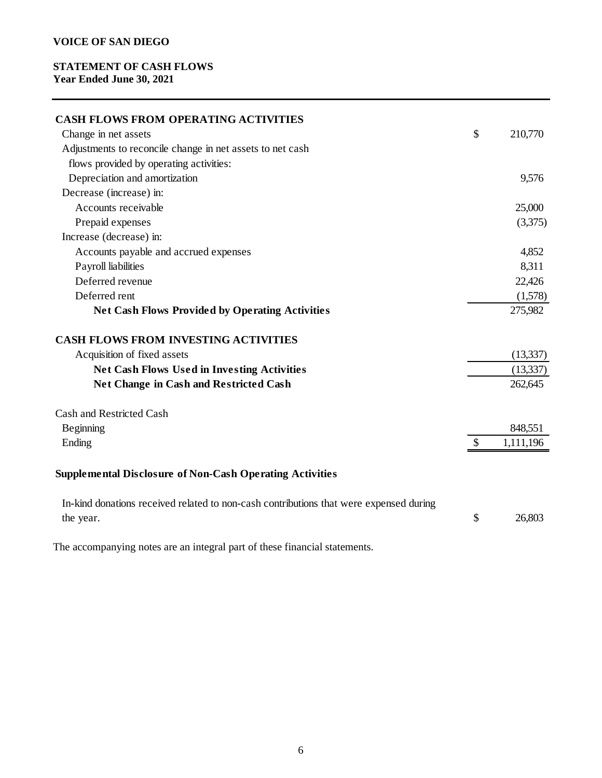# **STATEMENT OF CASH FLOWS Year Ended June 30, 2021**

| <b>CASH FLOWS FROM OPERATING ACTIVITIES</b>                                            |               |           |
|----------------------------------------------------------------------------------------|---------------|-----------|
| Change in net assets                                                                   | \$            | 210,770   |
| Adjustments to reconcile change in net assets to net cash                              |               |           |
| flows provided by operating activities:                                                |               |           |
| Depreciation and amortization                                                          |               | 9,576     |
| Decrease (increase) in:                                                                |               |           |
| Accounts receivable                                                                    |               | 25,000    |
|                                                                                        |               |           |
| Prepaid expenses                                                                       |               | (3,375)   |
| Increase (decrease) in:                                                                |               |           |
| Accounts payable and accrued expenses                                                  |               | 4,852     |
| Payroll liabilities                                                                    |               | 8,311     |
| Deferred revenue                                                                       |               | 22,426    |
| Deferred rent                                                                          |               | (1,578)   |
| <b>Net Cash Flows Provided by Operating Activities</b>                                 |               | 275,982   |
| <b>CASH FLOWS FROM INVESTING ACTIVITIES</b>                                            |               |           |
| Acquisition of fixed assets                                                            |               | (13,337)  |
| <b>Net Cash Flows Used in Investing Activities</b>                                     |               | (13,337)  |
| <b>Net Change in Cash and Restricted Cash</b>                                          |               | 262,645   |
| <b>Cash and Restricted Cash</b>                                                        |               |           |
| Beginning                                                                              |               | 848,551   |
| Ending                                                                                 | $\mathcal{S}$ |           |
|                                                                                        |               | 1,111,196 |
| <b>Supplemental Disclosure of Non-Cash Operating Activities</b>                        |               |           |
| In-kind donations received related to non-cash contributions that were expensed during |               |           |
| the year.                                                                              | \$            | 26,803    |
|                                                                                        |               |           |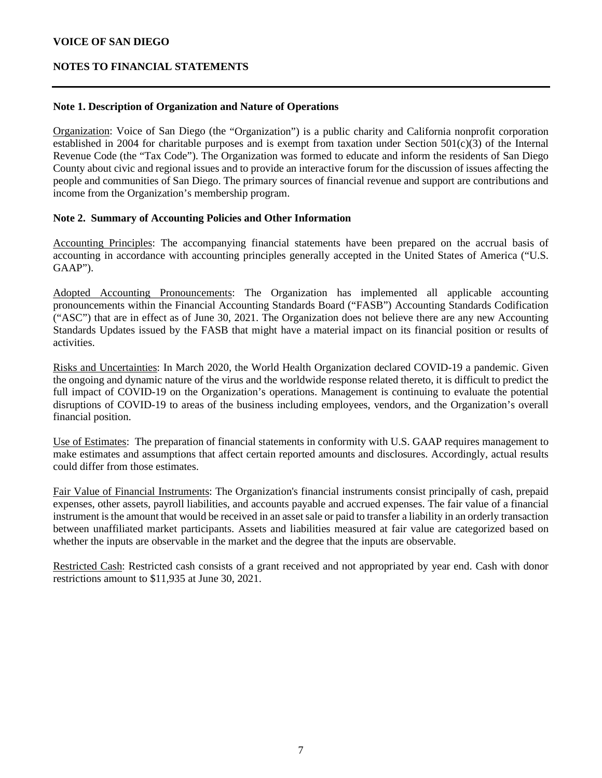## **NOTES TO FINANCIAL STATEMENTS**

#### **Note 1. Description of Organization and Nature of Operations**

Organization: Voice of San Diego (the "Organization") is a public charity and California nonprofit corporation established in 2004 for charitable purposes and is exempt from taxation under Section  $501(c)(3)$  of the Internal Revenue Code (the "Tax Code"). The Organization was formed to educate and inform the residents of San Diego County about civic and regional issues and to provide an interactive forum for the discussion of issues affecting the people and communities of San Diego. The primary sources of financial revenue and support are contributions and income from the Organization's membership program.

#### **Note 2. Summary of Accounting Policies and Other Information**

Accounting Principles: The accompanying financial statements have been prepared on the accrual basis of accounting in accordance with accounting principles generally accepted in the United States of America ("U.S. GAAP").

Adopted Accounting Pronouncements: The Organization has implemented all applicable accounting pronouncements within the Financial Accounting Standards Board ("FASB") Accounting Standards Codification ("ASC") that are in effect as of June 30, 2021. The Organization does not believe there are any new Accounting Standards Updates issued by the FASB that might have a material impact on its financial position or results of activities.

Risks and Uncertainties: In March 2020, the World Health Organization declared COVID-19 a pandemic. Given the ongoing and dynamic nature of the virus and the worldwide response related thereto, it is difficult to predict the full impact of COVID-19 on the Organization's operations. Management is continuing to evaluate the potential disruptions of COVID-19 to areas of the business including employees, vendors, and the Organization's overall financial position.

Use of Estimates: The preparation of financial statements in conformity with U.S. GAAP requires management to make estimates and assumptions that affect certain reported amounts and disclosures. Accordingly, actual results could differ from those estimates.

Fair Value of Financial Instruments: The Organization's financial instruments consist principally of cash, prepaid expenses, other assets, payroll liabilities, and accounts payable and accrued expenses. The fair value of a financial instrument is the amount that would be received in an asset sale or paid to transfer a liability in an orderly transaction between unaffiliated market participants. Assets and liabilities measured at fair value are categorized based on whether the inputs are observable in the market and the degree that the inputs are observable.

Restricted Cash: Restricted cash consists of a grant received and not appropriated by year end. Cash with donor restrictions amount to \$11,935 at June 30, 2021.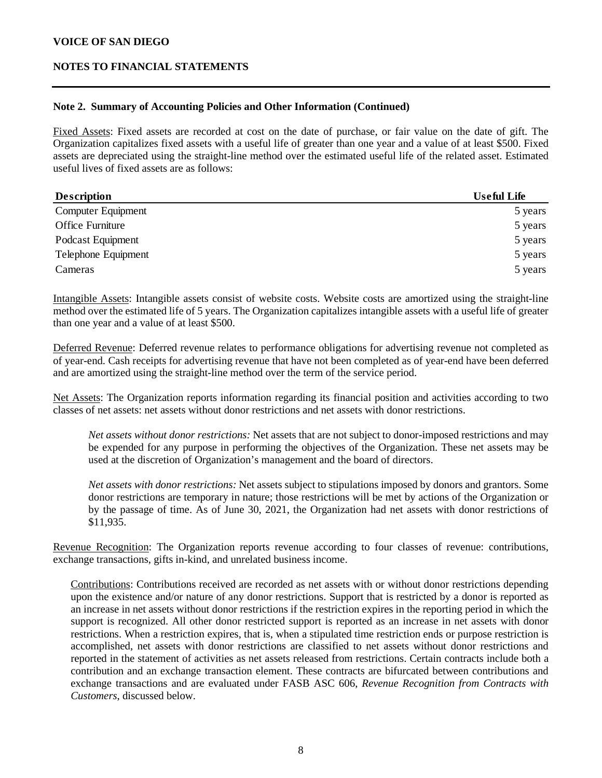### **NOTES TO FINANCIAL STATEMENTS**

#### **Note 2. Summary of Accounting Policies and Other Information (Continued)**

Fixed Assets: Fixed assets are recorded at cost on the date of purchase, or fair value on the date of gift. The Organization capitalizes fixed assets with a useful life of greater than one year and a value of at least \$500. Fixed assets are depreciated using the straight-line method over the estimated useful life of the related asset. Estimated useful lives of fixed assets are as follows:

| <b>Description</b>  | <b>Useful Life</b> |
|---------------------|--------------------|
| Computer Equipment  | 5 years            |
| Office Furniture    | 5 years            |
| Podcast Equipment   | 5 years            |
| Telephone Equipment | 5 years            |
| Cameras             | 5 years            |

Intangible Assets: Intangible assets consist of website costs. Website costs are amortized using the straight-line method over the estimated life of 5 years. The Organization capitalizes intangible assets with a useful life of greater than one year and a value of at least \$500.

Deferred Revenue: Deferred revenue relates to performance obligations for advertising revenue not completed as of year-end. Cash receipts for advertising revenue that have not been completed as of year-end have been deferred and are amortized using the straight-line method over the term of the service period.

Net Assets: The Organization reports information regarding its financial position and activities according to two classes of net assets: net assets without donor restrictions and net assets with donor restrictions.

*Net assets without donor restrictions:* Net assets that are not subject to donor-imposed restrictions and may be expended for any purpose in performing the objectives of the Organization. These net assets may be used at the discretion of Organization's management and the board of directors.

*Net assets with donor restrictions:* Net assets subject to stipulations imposed by donors and grantors. Some donor restrictions are temporary in nature; those restrictions will be met by actions of the Organization or by the passage of time. As of June 30, 2021, the Organization had net assets with donor restrictions of \$11,935.

Revenue Recognition: The Organization reports revenue according to four classes of revenue: contributions, exchange transactions, gifts in-kind, and unrelated business income.

Contributions: Contributions received are recorded as net assets with or without donor restrictions depending upon the existence and/or nature of any donor restrictions. Support that is restricted by a donor is reported as an increase in net assets without donor restrictions if the restriction expires in the reporting period in which the support is recognized. All other donor restricted support is reported as an increase in net assets with donor restrictions. When a restriction expires, that is, when a stipulated time restriction ends or purpose restriction is accomplished, net assets with donor restrictions are classified to net assets without donor restrictions and reported in the statement of activities as net assets released from restrictions. Certain contracts include both a contribution and an exchange transaction element. These contracts are bifurcated between contributions and exchange transactions and are evaluated under FASB ASC 606, *Revenue Recognition from Contracts with Customers*, discussed below.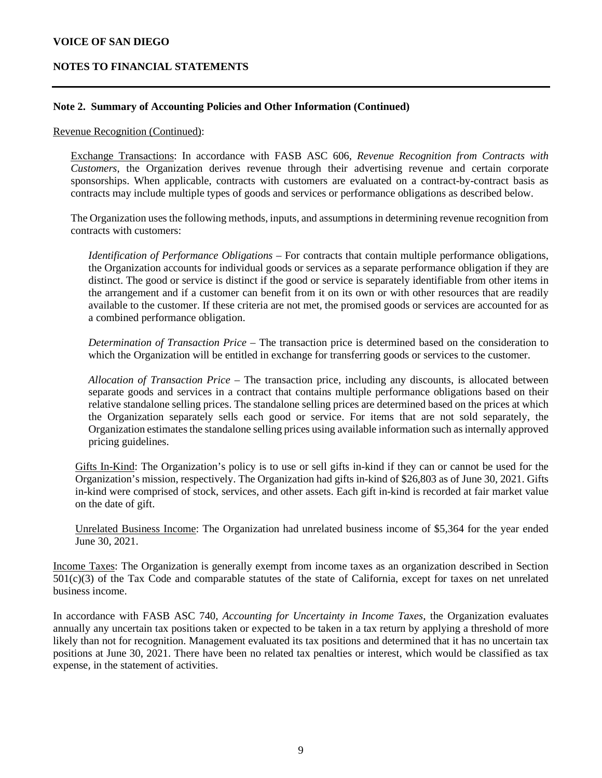#### **NOTES TO FINANCIAL STATEMENTS**

#### **Note 2. Summary of Accounting Policies and Other Information (Continued)**

#### Revenue Recognition (Continued):

Exchange Transactions: In accordance with FASB ASC 606, *Revenue Recognition from Contracts with Customers*, the Organization derives revenue through their advertising revenue and certain corporate sponsorships. When applicable, contracts with customers are evaluated on a contract-by-contract basis as contracts may include multiple types of goods and services or performance obligations as described below.

The Organization uses the following methods, inputs, and assumptions in determining revenue recognition from contracts with customers:

*Identification of Performance Obligations* – For contracts that contain multiple performance obligations, the Organization accounts for individual goods or services as a separate performance obligation if they are distinct. The good or service is distinct if the good or service is separately identifiable from other items in the arrangement and if a customer can benefit from it on its own or with other resources that are readily available to the customer. If these criteria are not met, the promised goods or services are accounted for as a combined performance obligation.

*Determination of Transaction Price* – The transaction price is determined based on the consideration to which the Organization will be entitled in exchange for transferring goods or services to the customer.

*Allocation of Transaction Price* – The transaction price, including any discounts, is allocated between separate goods and services in a contract that contains multiple performance obligations based on their relative standalone selling prices. The standalone selling prices are determined based on the prices at which the Organization separately sells each good or service. For items that are not sold separately, the Organization estimates the standalone selling prices using available information such as internally approved pricing guidelines.

Gifts In-Kind: The Organization's policy is to use or sell gifts in-kind if they can or cannot be used for the Organization's mission, respectively. The Organization had gifts in-kind of \$26,803 as of June 30, 2021. Gifts in-kind were comprised of stock, services, and other assets. Each gift in-kind is recorded at fair market value on the date of gift.

Unrelated Business Income: The Organization had unrelated business income of \$5,364 for the year ended June 30, 2021.

Income Taxes: The Organization is generally exempt from income taxes as an organization described in Section 501(c)(3) of the Tax Code and comparable statutes of the state of California, except for taxes on net unrelated business income.

In accordance with FASB ASC 740, *Accounting for Uncertainty in Income Taxes*, the Organization evaluates annually any uncertain tax positions taken or expected to be taken in a tax return by applying a threshold of more likely than not for recognition. Management evaluated its tax positions and determined that it has no uncertain tax positions at June 30, 2021. There have been no related tax penalties or interest, which would be classified as tax expense, in the statement of activities.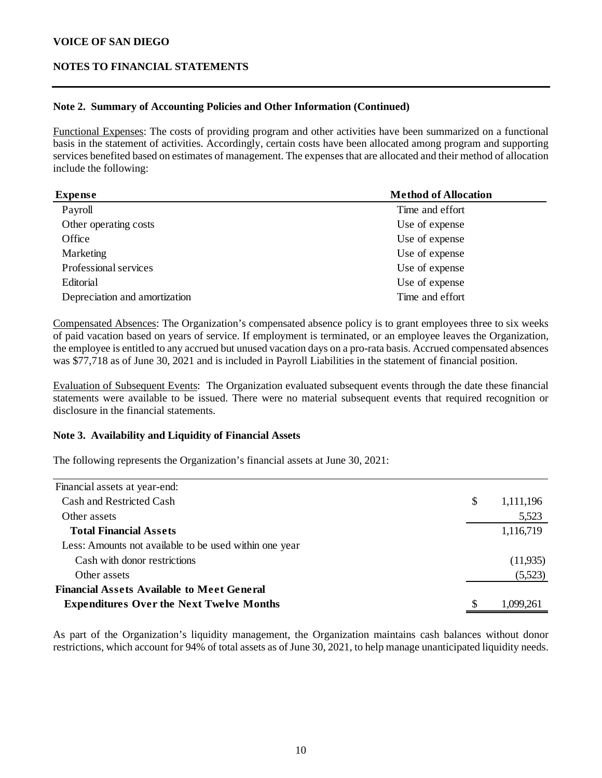## **NOTES TO FINANCIAL STATEMENTS**

### **Note 2. Summary of Accounting Policies and Other Information (Continued)**

Functional Expenses: The costs of providing program and other activities have been summarized on a functional basis in the statement of activities. Accordingly, certain costs have been allocated among program and supporting services benefited based on estimates of management. The expenses that are allocated and their method of allocation include the following:

| <b>Expense</b>                | <b>Method of Allocation</b> |
|-------------------------------|-----------------------------|
| Payroll                       | Time and effort             |
| Other operating costs         | Use of expense              |
| Office                        | Use of expense              |
| Marketing                     | Use of expense              |
| Professional services         | Use of expense              |
| Editorial                     | Use of expense              |
| Depreciation and amortization | Time and effort             |

Compensated Absences: The Organization's compensated absence policy is to grant employees three to six weeks of paid vacation based on years of service. If employment is terminated, or an employee leaves the Organization, the employee is entitled to any accrued but unused vacation days on a pro-rata basis. Accrued compensated absences was \$77,718 as of June 30, 2021 and is included in Payroll Liabilities in the statement of financial position.

Evaluation of Subsequent Events: The Organization evaluated subsequent events through the date these financial statements were available to be issued. There were no material subsequent events that required recognition or disclosure in the financial statements.

#### **Note 3. Availability and Liquidity of Financial Assets**

The following represents the Organization's financial assets at June 30, 2021:

| Financial assets at year-end:                          |                 |
|--------------------------------------------------------|-----------------|
| Cash and Restricted Cash                               | \$<br>1,111,196 |
| Other assets                                           | 5,523           |
| <b>Total Financial Assets</b>                          | 1,116,719       |
| Less: Amounts not available to be used within one year |                 |
| Cash with donor restrictions                           | (11,935)        |
| Other assets                                           | (5,523)         |
| <b>Financial Assets Available to Meet General</b>      |                 |
| <b>Expenditures Over the Next Twelve Months</b>        | 1,099,261       |

As part of the Organization's liquidity management, the Organization maintains cash balances without donor restrictions, which account for 94% of total assets as of June 30, 2021, to help manage unanticipated liquidity needs.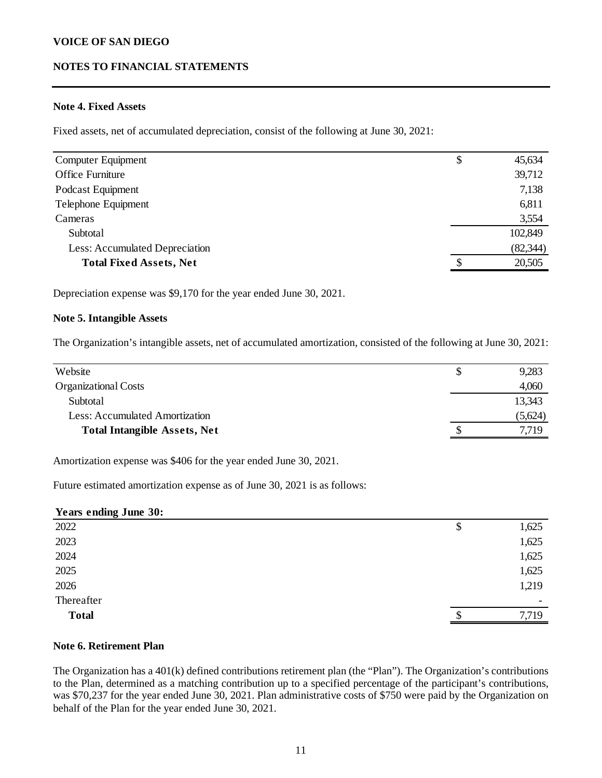## **NOTES TO FINANCIAL STATEMENTS**

#### **Note 4. Fixed Assets**

Fixed assets, net of accumulated depreciation, consist of the following at June 30, 2021:

| Computer Equipment             | \$<br>45,634 |
|--------------------------------|--------------|
| <b>Office Furniture</b>        | 39,712       |
| Podcast Equipment              | 7,138        |
| Telephone Equipment            | 6,811        |
| Cameras                        | 3,554        |
| Subtotal                       | 102,849      |
| Less: Accumulated Depreciation | (82, 344)    |
| <b>Total Fixed Assets, Net</b> | 20,505       |

Depreciation expense was \$9,170 for the year ended June 30, 2021.

## **Note 5. Intangible Assets**

The Organization's intangible assets, net of accumulated amortization, consisted of the following at June 30, 2021:

| Website                             |    | 9,283   |
|-------------------------------------|----|---------|
| <b>Organizational Costs</b>         |    | 4,060   |
| Subtotal                            |    | 13,343  |
| Less: Accumulated Amortization      |    | (5,624) |
| <b>Total Intangible Assets, Net</b> | £. | 7,719   |
|                                     |    |         |

Amortization expense was \$406 for the year ended June 30, 2021.

Future estimated amortization expense as of June 30, 2021 is as follows:

| <b>Years ending June 30:</b> |   |       |
|------------------------------|---|-------|
| 2022                         | Φ | 1,625 |
| 2023                         |   | 1,625 |
| 2024                         |   | 1,625 |
| 2025                         |   | 1,625 |
| 2026                         |   | 1,219 |
| Thereafter                   |   | -     |
| <b>Total</b>                 |   | 7,719 |

## **Note 6. Retirement Plan**

The Organization has a 401(k) defined contributions retirement plan (the "Plan"). The Organization's contributions to the Plan, determined as a matching contribution up to a specified percentage of the participant's contributions, was \$70,237 for the year ended June 30, 2021. Plan administrative costs of \$750 were paid by the Organization on behalf of the Plan for the year ended June 30, 2021.